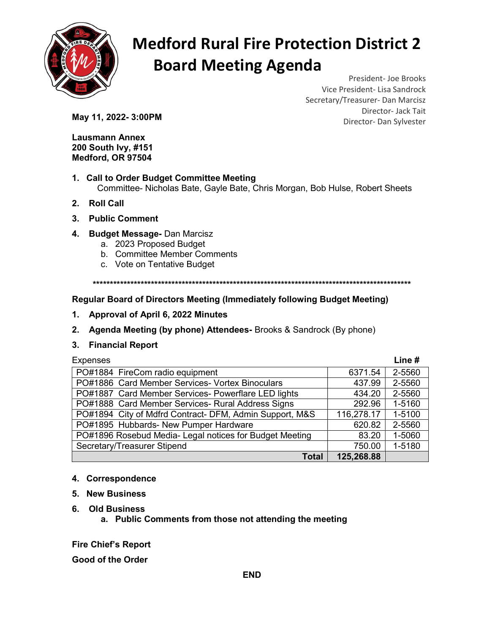

# Medford Rural Fire Protection District 2 Board Meeting Agenda

President- Joe Brooks Vice President- Lisa Sandrock Secretary/Treasurer- Dan Marcisz Director- Jack Tait **May 11, 2022- 3:00PM** Director- Dan Sylvester

Lausmann Annex 200 South Ivy, #151 Medford, OR 97504

- 1. Call to Order Budget Committee Meeting Committee- Nicholas Bate, Gayle Bate, Chris Morgan, Bob Hulse, Robert Sheets
- 2. Roll Call
- 3. Public Comment
- 4. Budget Message- Dan Marcisz
	- a. 2023 Proposed Budget
	- b. Committee Member Comments
	- c. Vote on Tentative Budget

\*\*\*\*\*\*\*\*\*\*\*\*\*\*\*\*\*\*\*\*\*\*\*\*\*\*\*\*\*\*\*\*\*\*\*\*\*\*\*\*\*\*\*\*\*\*\*\*\*\*\*\*\*\*\*\*\*\*\*\*\*\*\*\*\*\*\*\*\*\*\*\*\*\*\*\*\*\*\*\*\*\*\*\*\*\*\*\*\*\*\*\*\*

### Regular Board of Directors Meeting (Immediately following Budget Meeting)

- 1. Approval of April 6, 2022 Minutes
- 2. Agenda Meeting (by phone) Attendees- Brooks & Sandrock (By phone)

### 3. Financial Report

| Expenses |
|----------|
|----------|

| <b>Expenses</b>                                         |            | Line#  |
|---------------------------------------------------------|------------|--------|
| PO#1884 FireCom radio equipment                         | 6371.54    | 2-5560 |
| PO#1886 Card Member Services- Vortex Binoculars         | 437.99     | 2-5560 |
| PO#1887 Card Member Services- Powerflare LED lights     | 434.20     | 2-5560 |
| PO#1888 Card Member Services- Rural Address Signs       | 292.96     | 1-5160 |
| PO#1894 City of Mdfrd Contract- DFM, Admin Support, M&S | 116,278.17 | 1-5100 |
| PO#1895 Hubbards- New Pumper Hardware                   | 620.82     | 2-5560 |
| PO#1896 Rosebud Media- Legal notices for Budget Meeting | 83.20      | 1-5060 |
| Secretary/Treasurer Stipend                             | 750.00     | 1-5180 |
| <b>Total</b>                                            | 125,268.88 |        |

### 4. Correspondence

- 5. New Business
- 6. Old Business
	- a. Public Comments from those not attending the meeting

Fire Chief's Report

Good of the Order